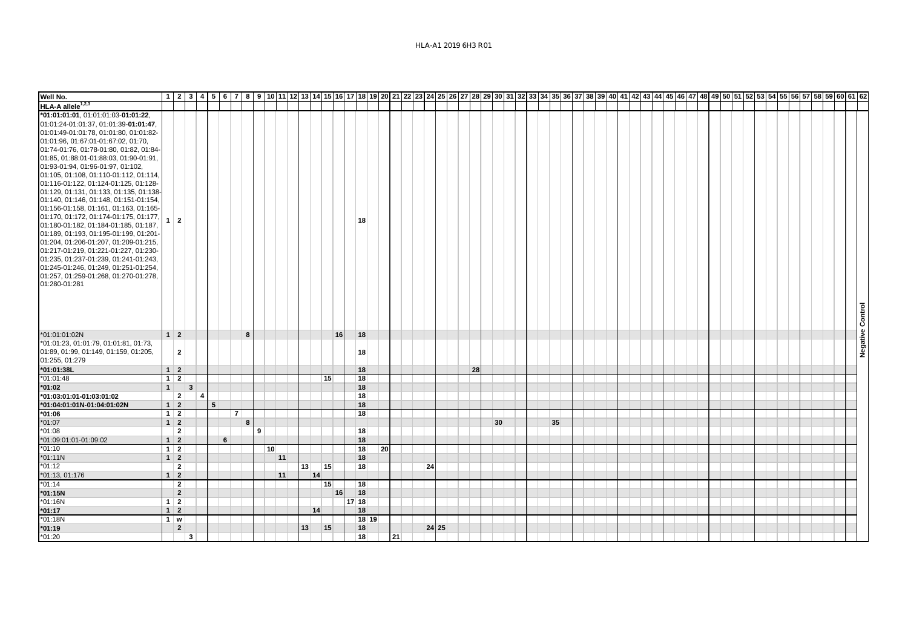| Well No.                                                                        |                          |                |                |   |                |   |                 |    |    |    |         |       |                 |    |       |    |                 |  |    |  |  |  |  |  |  |  |  |  |                  |
|---------------------------------------------------------------------------------|--------------------------|----------------|----------------|---|----------------|---|-----------------|----|----|----|---------|-------|-----------------|----|-------|----|-----------------|--|----|--|--|--|--|--|--|--|--|--|------------------|
| HLA-A allele <sup>1,2,3</sup>                                                   |                          |                |                |   |                |   |                 |    |    |    |         |       |                 |    |       |    |                 |  |    |  |  |  |  |  |  |  |  |  |                  |
| *01:01:01:01, 01:01:01:03-01:01:22,                                             |                          |                |                |   |                |   |                 |    |    |    |         |       |                 |    |       |    |                 |  |    |  |  |  |  |  |  |  |  |  |                  |
| 01:01:24-01:01:37, 01:01:39-01:01:47,                                           |                          |                |                |   |                |   |                 |    |    |    |         |       |                 |    |       |    |                 |  |    |  |  |  |  |  |  |  |  |  |                  |
| 01:01:49-01:01:78, 01:01:80, 01:01:82-                                          |                          |                |                |   |                |   |                 |    |    |    |         |       |                 |    |       |    |                 |  |    |  |  |  |  |  |  |  |  |  |                  |
| 01:01:96, 01:67:01-01:67:02, 01:70,                                             |                          |                |                |   |                |   |                 |    |    |    |         |       |                 |    |       |    |                 |  |    |  |  |  |  |  |  |  |  |  |                  |
| 01:74-01:76, 01:78-01:80, 01:82, 01:84-                                         |                          |                |                |   |                |   |                 |    |    |    |         |       |                 |    |       |    |                 |  |    |  |  |  |  |  |  |  |  |  |                  |
| 01:85, 01:88:01-01:88:03, 01:90-01:91,                                          |                          |                |                |   |                |   |                 |    |    |    |         |       |                 |    |       |    |                 |  |    |  |  |  |  |  |  |  |  |  |                  |
| 01:93-01:94, 01:96-01:97, 01:102,                                               |                          |                |                |   |                |   |                 |    |    |    |         |       |                 |    |       |    |                 |  |    |  |  |  |  |  |  |  |  |  |                  |
| 01:105, 01:108, 01:110-01:112, 01:114,                                          |                          |                |                |   |                |   |                 |    |    |    |         |       |                 |    |       |    |                 |  |    |  |  |  |  |  |  |  |  |  |                  |
| 01:116-01:122, 01:124-01:125, 01:128-                                           |                          |                |                |   |                |   |                 |    |    |    |         |       |                 |    |       |    |                 |  |    |  |  |  |  |  |  |  |  |  |                  |
| 01:129, 01:131, 01:133, 01:135, 01:138-                                         |                          |                |                |   |                |   |                 |    |    |    |         |       |                 |    |       |    |                 |  |    |  |  |  |  |  |  |  |  |  |                  |
| 01:140, 01:146, 01:148, 01:151-01:154,                                          |                          |                |                |   |                |   |                 |    |    |    |         |       |                 |    |       |    |                 |  |    |  |  |  |  |  |  |  |  |  |                  |
| 01:156-01:158, 01:161, 01:163, 01:165-                                          |                          |                |                |   |                |   |                 |    |    |    |         |       |                 |    |       |    |                 |  |    |  |  |  |  |  |  |  |  |  |                  |
| 01:170, 01:172, 01:174-01:175, 01:177,<br>01:180-01:182, 01:184-01:185, 01:187, | $1 \mid 2$               |                |                |   |                |   |                 |    |    |    | 18      |       |                 |    |       |    |                 |  |    |  |  |  |  |  |  |  |  |  |                  |
| 01:189, 01:193, 01:195-01:199, 01:201-                                          |                          |                |                |   |                |   |                 |    |    |    |         |       |                 |    |       |    |                 |  |    |  |  |  |  |  |  |  |  |  |                  |
| 01:204, 01:206-01:207, 01:209-01:215,                                           |                          |                |                |   |                |   |                 |    |    |    |         |       |                 |    |       |    |                 |  |    |  |  |  |  |  |  |  |  |  |                  |
| 01:217-01:219, 01:221-01:227, 01:230-                                           |                          |                |                |   |                |   |                 |    |    |    |         |       |                 |    |       |    |                 |  |    |  |  |  |  |  |  |  |  |  |                  |
| 01:235, 01:237-01:239, 01:241-01:243,                                           |                          |                |                |   |                |   |                 |    |    |    |         |       |                 |    |       |    |                 |  |    |  |  |  |  |  |  |  |  |  |                  |
| 01:245-01:246, 01:249, 01:251-01:254,                                           |                          |                |                |   |                |   |                 |    |    |    |         |       |                 |    |       |    |                 |  |    |  |  |  |  |  |  |  |  |  |                  |
| 01:257, 01:259-01:268, 01:270-01:278,                                           |                          |                |                |   |                |   |                 |    |    |    |         |       |                 |    |       |    |                 |  |    |  |  |  |  |  |  |  |  |  |                  |
| 01:280-01:281                                                                   |                          |                |                |   |                |   |                 |    |    |    |         |       |                 |    |       |    |                 |  |    |  |  |  |  |  |  |  |  |  |                  |
|                                                                                 |                          |                |                |   |                |   |                 |    |    |    |         |       |                 |    |       |    |                 |  |    |  |  |  |  |  |  |  |  |  |                  |
|                                                                                 |                          |                |                |   |                |   |                 |    |    |    |         |       |                 |    |       |    |                 |  |    |  |  |  |  |  |  |  |  |  |                  |
|                                                                                 |                          |                |                |   |                |   |                 |    |    |    |         |       |                 |    |       |    |                 |  |    |  |  |  |  |  |  |  |  |  |                  |
|                                                                                 |                          |                |                |   |                |   |                 |    |    |    |         |       |                 |    |       |    |                 |  |    |  |  |  |  |  |  |  |  |  |                  |
| *01:01:01:02N                                                                   | $1 \vert 2 \vert$        |                |                |   | 8              |   |                 |    |    | 16 | 18      |       |                 |    |       |    |                 |  |    |  |  |  |  |  |  |  |  |  | Negative Control |
| *01:01:23, 01:01:79, 01:01:81, 01:73,                                           |                          |                |                |   |                |   |                 |    |    |    |         |       |                 |    |       |    |                 |  |    |  |  |  |  |  |  |  |  |  |                  |
| 01:89, 01:99, 01:149, 01:159, 01:205,                                           |                          | $\mathbf{2}$   |                |   |                |   |                 |    |    |    | 18      |       |                 |    |       |    |                 |  |    |  |  |  |  |  |  |  |  |  |                  |
| 01:255, 01:279                                                                  |                          |                |                |   |                |   |                 |    |    |    |         |       |                 |    |       |    |                 |  |    |  |  |  |  |  |  |  |  |  |                  |
| *01:01:38L                                                                      | $1 \vert 2$              |                |                |   |                |   |                 |    |    |    | 18      |       |                 |    |       | 28 |                 |  |    |  |  |  |  |  |  |  |  |  |                  |
| $*01:01:48$                                                                     | $1 \mid 2$               |                |                |   |                |   |                 |    | 15 |    | 18      |       |                 |    |       |    |                 |  |    |  |  |  |  |  |  |  |  |  |                  |
| $*01:02$                                                                        | 1                        | $\mathbf{3}$   |                |   |                |   |                 |    |    |    | 18      |       |                 |    |       |    |                 |  |    |  |  |  |  |  |  |  |  |  |                  |
| *01:03:01:01-01:03:01:02                                                        |                          | 2 <sup>1</sup> | $\overline{4}$ |   |                |   |                 |    |    |    | 18      |       |                 |    |       |    |                 |  |    |  |  |  |  |  |  |  |  |  |                  |
| *01:04:01:01N-01:04:01:02N                                                      | $1 \vert 2 \vert$        |                | 5              |   |                |   |                 |    |    |    | 18      |       |                 |    |       |    |                 |  |    |  |  |  |  |  |  |  |  |  |                  |
| $*01:06$                                                                        | $1 \mid 2$               |                |                |   | 7 <sup>1</sup> |   |                 |    |    |    | 18      |       |                 |    |       |    |                 |  |    |  |  |  |  |  |  |  |  |  |                  |
| $*01:07$                                                                        | $1 \vert 2 \vert$        |                |                |   | 8              |   |                 |    |    |    |         |       |                 |    |       |    | 30 <sup>1</sup> |  | 35 |  |  |  |  |  |  |  |  |  |                  |
| $*01:08$                                                                        |                          | $\mathbf{2}$   |                |   |                | 9 |                 |    |    |    | 18      |       |                 |    |       |    |                 |  |    |  |  |  |  |  |  |  |  |  |                  |
| *01:09:01:01-01:09:02                                                           | $1 \vert 2$              |                |                | 6 |                |   |                 |    |    |    | 18      |       |                 |    |       |    |                 |  |    |  |  |  |  |  |  |  |  |  |                  |
| $*01:10$                                                                        | $1 \mid 2$               |                |                |   |                |   | 10 <sup>1</sup> |    |    |    | 18      |       | 20 <sub>1</sub> |    |       |    |                 |  |    |  |  |  |  |  |  |  |  |  |                  |
| $*01:11N$                                                                       | $1 \vert 2$              |                |                |   |                |   | 11              |    |    |    | 18      |       |                 |    |       |    |                 |  |    |  |  |  |  |  |  |  |  |  |                  |
| $*01:12$                                                                        |                          | $\mathbf{2}$   |                |   |                |   |                 | 13 | 15 |    | 18      |       |                 | 24 |       |    |                 |  |    |  |  |  |  |  |  |  |  |  |                  |
| *01:13, 01:176                                                                  | $1 \mid 2$               |                |                |   |                |   | 11              | 14 |    |    |         |       |                 |    |       |    |                 |  |    |  |  |  |  |  |  |  |  |  |                  |
| $*01:14$                                                                        |                          | $\overline{2}$ |                |   |                |   |                 |    | 15 |    | 18      |       |                 |    |       |    |                 |  |    |  |  |  |  |  |  |  |  |  |                  |
| *01:15N                                                                         |                          | $\overline{2}$ |                |   |                |   |                 |    |    | 16 | 18      |       |                 |    |       |    |                 |  |    |  |  |  |  |  |  |  |  |  |                  |
| *01:16N                                                                         | $1 \mid 2$<br>$1 \mid 2$ |                |                |   |                |   |                 |    |    |    | $17$ 18 |       |                 |    |       |    |                 |  |    |  |  |  |  |  |  |  |  |  |                  |
| $*01:17$<br>*01:18N                                                             | $1 \mid w$               |                |                |   |                |   |                 |    | 14 |    | 18      | 18 19 |                 |    |       |    |                 |  |    |  |  |  |  |  |  |  |  |  |                  |
| $*01:19$                                                                        |                          | $\overline{2}$ |                |   |                |   |                 | 13 | 15 |    | 18      |       |                 |    | 24 25 |    |                 |  |    |  |  |  |  |  |  |  |  |  |                  |
| $*01:20$                                                                        |                          | 3              |                |   |                |   |                 |    |    |    | 18      |       | 21              |    |       |    |                 |  |    |  |  |  |  |  |  |  |  |  |                  |
|                                                                                 |                          |                |                |   |                |   |                 |    |    |    |         |       |                 |    |       |    |                 |  |    |  |  |  |  |  |  |  |  |  |                  |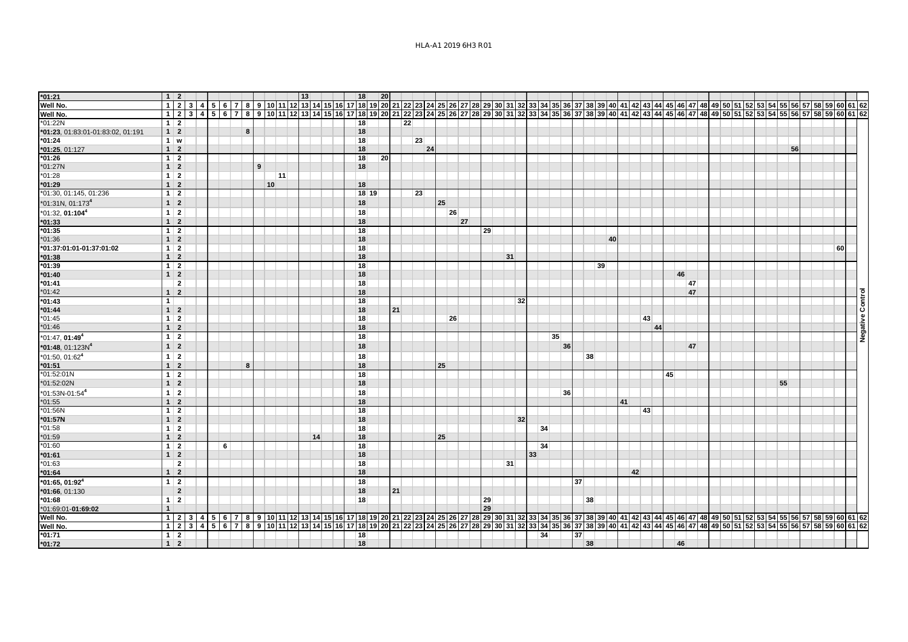| $*01:21$                          |              | $1 \vert 2$     |  |                 |   |   |    | 13 |    |  | 18      | 20        |    |    |    |    |    |    |    |    |    |                                                                                                                                                                                             |    |    |    |    |    |    |    |    |    |  |  |  |    |  |    |             |  |
|-----------------------------------|--------------|-----------------|--|-----------------|---|---|----|----|----|--|---------|-----------|----|----|----|----|----|----|----|----|----|---------------------------------------------------------------------------------------------------------------------------------------------------------------------------------------------|----|----|----|----|----|----|----|----|----|--|--|--|----|--|----|-------------|--|
| Well No.                          |              |                 |  | 1 2 3 4 5 6 7 8 |   |   |    |    |    |  |         |           |    |    |    |    |    |    |    |    |    | 9 10 11 12 13 14 15 16 17 18 19 20 21 22 23 24 25 26 27 28 29 30 31 32 33 34 35 36 37 38 39 40 41 42 43 44 50 51 52 53 54 55 56 57 58 54 55 66 77 88 59 60 61 62                            |    |    |    |    |    |    |    |    |    |  |  |  |    |  |    |             |  |
| Well No.                          |              |                 |  |                 |   |   |    |    |    |  |         |           |    |    |    |    |    |    |    |    |    | 1 2 3 4 5 6 7 8 9 10 11 12 13 14 15 16 17 18 19 20 21 22 23 24 25 26 27 28 29 30 31 32 33 43 55 36 37 38 39 40 41 42 43 44 45 46 47 48 49 50 51 52 53 54 55 65 7 58 59 60 51 62 59 60 61 62 |    |    |    |    |    |    |    |    |    |  |  |  |    |  |    |             |  |
| $*01:22N$                         |              | $1 \mid 2$      |  |                 |   |   |    |    |    |  | 18      |           |    | 22 |    |    |    |    |    |    |    |                                                                                                                                                                                             |    |    |    |    |    |    |    |    |    |  |  |  |    |  |    |             |  |
| *01:23, 01:83:01-01:83:02, 01:191 |              | $1 \vert 2$     |  |                 | 8 |   |    |    |    |  | 18      |           |    |    |    |    |    |    |    |    |    |                                                                                                                                                                                             |    |    |    |    |    |    |    |    |    |  |  |  |    |  |    |             |  |
| $*01:24$                          |              | $1 \mid w$      |  |                 |   |   |    |    |    |  | 18      |           |    |    | 23 |    |    |    |    |    |    |                                                                                                                                                                                             |    |    |    |    |    |    |    |    |    |  |  |  |    |  |    |             |  |
| *01:25, 01:127                    |              | $1 \vert 2$     |  |                 |   |   |    |    |    |  | 18      |           |    |    | 24 |    |    |    |    |    |    |                                                                                                                                                                                             |    |    |    |    |    |    |    |    |    |  |  |  | 56 |  |    |             |  |
| $*01:26$                          |              | $1 \mid 2$      |  |                 |   |   |    |    |    |  | 18      | <b>20</b> |    |    |    |    |    |    |    |    |    |                                                                                                                                                                                             |    |    |    |    |    |    |    |    |    |  |  |  |    |  |    |             |  |
| *01:27N                           |              | $1 \vert 2$     |  |                 |   | 9 |    |    |    |  | 18      |           |    |    |    |    |    |    |    |    |    |                                                                                                                                                                                             |    |    |    |    |    |    |    |    |    |  |  |  |    |  |    |             |  |
| $*01:28$                          |              | $1 \vert 2$     |  |                 |   |   | 11 |    |    |  |         |           |    |    |    |    |    |    |    |    |    |                                                                                                                                                                                             |    |    |    |    |    |    |    |    |    |  |  |  |    |  |    |             |  |
| $*01:29$                          |              | $1 \vert 2$     |  |                 |   |   | 10 |    |    |  | 18      |           |    |    |    |    |    |    |    |    |    |                                                                                                                                                                                             |    |    |    |    |    |    |    |    |    |  |  |  |    |  |    |             |  |
| *01:30, 01:145, 01:236            |              | $1 \mid 2$      |  |                 |   |   |    |    |    |  | $18$ 19 |           |    |    | 23 |    |    |    |    |    |    |                                                                                                                                                                                             |    |    |    |    |    |    |    |    |    |  |  |  |    |  |    |             |  |
| $*01:31N, 01:1734$                |              | $1 \vert 2$     |  |                 |   |   |    |    |    |  | 18      |           |    |    |    | 25 |    |    |    |    |    |                                                                                                                                                                                             |    |    |    |    |    |    |    |    |    |  |  |  |    |  |    |             |  |
| $*01:32, 01:1044$                 |              | $1 \mid 2$      |  |                 |   |   |    |    |    |  | 18      |           |    |    |    |    | 26 |    |    |    |    |                                                                                                                                                                                             |    |    |    |    |    |    |    |    |    |  |  |  |    |  |    |             |  |
| $*01:33$                          |              | $1 \vert 2$     |  |                 |   |   |    |    |    |  | 18      |           |    |    |    |    | 27 |    |    |    |    |                                                                                                                                                                                             |    |    |    |    |    |    |    |    |    |  |  |  |    |  |    |             |  |
| $*01:35$                          |              | $1 \mid 2$      |  |                 |   |   |    |    |    |  | 18      |           |    |    |    |    |    | 29 |    |    |    |                                                                                                                                                                                             |    |    |    |    |    |    |    |    |    |  |  |  |    |  |    |             |  |
| $*01:36$                          |              | $1 \vert 2$     |  |                 |   |   |    |    |    |  | 18      |           |    |    |    |    |    |    |    |    |    |                                                                                                                                                                                             |    |    | 40 |    |    |    |    |    |    |  |  |  |    |  |    |             |  |
| *01:37:01:01-01:37:01:02          |              | $1 \vert 2$     |  |                 |   |   |    |    |    |  | 18      |           |    |    |    |    |    |    |    |    |    |                                                                                                                                                                                             |    |    |    |    |    |    |    |    |    |  |  |  |    |  | 60 |             |  |
| $*01:38$                          |              | $1 \vert 2$     |  |                 |   |   |    |    |    |  | 18      |           |    |    |    |    |    |    | 31 |    |    |                                                                                                                                                                                             |    |    |    |    |    |    |    |    |    |  |  |  |    |  |    |             |  |
| $*01:39$                          |              | $1 \mid 2$      |  |                 |   |   |    |    |    |  | 18      |           |    |    |    |    |    |    |    |    |    |                                                                                                                                                                                             |    |    | 39 |    |    |    |    |    |    |  |  |  |    |  |    |             |  |
| $*01:40$                          |              | $1 \vert 2$     |  |                 |   |   |    |    |    |  | 18      |           |    |    |    |    |    |    |    |    |    |                                                                                                                                                                                             |    |    |    |    |    |    |    | 46 |    |  |  |  |    |  |    |             |  |
| $*01:41$                          |              | $\mathbf{2}$    |  |                 |   |   |    |    |    |  | 18      |           |    |    |    |    |    |    |    |    |    |                                                                                                                                                                                             |    |    |    |    |    |    |    |    | 47 |  |  |  |    |  |    |             |  |
| $*01:42$                          |              | $1 \vert 2$     |  |                 |   |   |    |    |    |  | 18      |           |    |    |    |    |    |    |    |    |    |                                                                                                                                                                                             |    |    |    |    |    |    |    |    | 47 |  |  |  |    |  |    |             |  |
| $*01:43$                          | $\mathbf{1}$ |                 |  |                 |   |   |    |    |    |  | 18      |           |    |    |    |    |    |    |    | 32 |    |                                                                                                                                                                                             |    |    |    |    |    |    |    |    |    |  |  |  |    |  |    |             |  |
| $*01:44$                          |              | $1 \vert 2$     |  |                 |   |   |    |    |    |  | 18      |           | 21 |    |    |    |    |    |    |    |    |                                                                                                                                                                                             |    |    |    |    |    |    |    |    |    |  |  |  |    |  |    | ခြ          |  |
| $*01:45$                          |              | $1 \mid 2$      |  |                 |   |   |    |    |    |  | 18      |           |    |    |    |    | 26 |    |    |    |    |                                                                                                                                                                                             |    |    |    |    |    | 43 |    |    |    |  |  |  |    |  |    | ያ           |  |
| $*01:46$                          |              | $1 \vert 2$     |  |                 |   |   |    |    |    |  | 18      |           |    |    |    |    |    |    |    |    |    |                                                                                                                                                                                             |    |    |    |    |    | 44 |    |    |    |  |  |  |    |  |    |             |  |
| $*01:47, 01:494$                  |              | $1 \mid 2$      |  |                 |   |   |    |    |    |  | 18      |           |    |    |    |    |    |    |    |    |    | 35                                                                                                                                                                                          |    |    |    |    |    |    |    |    |    |  |  |  |    |  |    | ខេត្ត<br>ខេ |  |
| $*$ 01:48, 01:123N <sup>4</sup>   |              | $1 \vert 2$     |  |                 |   |   |    |    |    |  | 18      |           |    |    |    |    |    |    |    |    |    |                                                                                                                                                                                             | 36 |    |    |    |    |    |    |    | 47 |  |  |  |    |  |    |             |  |
| $*01:50, 01:624$                  |              | $1 \mid 2$      |  |                 |   |   |    |    |    |  | 18      |           |    |    |    |    |    |    |    |    |    |                                                                                                                                                                                             |    | 38 |    |    |    |    |    |    |    |  |  |  |    |  |    |             |  |
| $*01:51$                          |              | $1 \vert 2$     |  |                 | 8 |   |    |    |    |  | 18      |           |    |    |    | 25 |    |    |    |    |    |                                                                                                                                                                                             |    |    |    |    |    |    |    |    |    |  |  |  |    |  |    |             |  |
| *01:52:01N                        |              | $1 \vert 2$     |  |                 |   |   |    |    |    |  | 18      |           |    |    |    |    |    |    |    |    |    |                                                                                                                                                                                             |    |    |    |    |    |    | 45 |    |    |  |  |  |    |  |    |             |  |
| *01:52:02N                        |              | $1 \vert 2$     |  |                 |   |   |    |    |    |  | 18      |           |    |    |    |    |    |    |    |    |    |                                                                                                                                                                                             |    |    |    |    |    |    |    |    |    |  |  |  | 55 |  |    |             |  |
| *01:53N-01:54 <sup>4</sup>        |              | $1 \mid 2$      |  |                 |   |   |    |    |    |  | 18      |           |    |    |    |    |    |    |    |    |    |                                                                                                                                                                                             | 36 |    |    |    |    |    |    |    |    |  |  |  |    |  |    |             |  |
|                                   |              | $1 \vert 2$     |  |                 |   |   |    |    |    |  | 18      |           |    |    |    |    |    |    |    |    |    |                                                                                                                                                                                             |    |    |    | 41 |    |    |    |    |    |  |  |  |    |  |    |             |  |
| $*01:55$<br>*01:56N               |              | $1 \mid 2$      |  |                 |   |   |    |    |    |  | 18      |           |    |    |    |    |    |    |    |    |    |                                                                                                                                                                                             |    |    |    |    |    | 43 |    |    |    |  |  |  |    |  |    |             |  |
| *01:57N                           |              | $1 \vert 2$     |  |                 |   |   |    |    |    |  | 18      |           |    |    |    |    |    |    |    | 32 |    |                                                                                                                                                                                             |    |    |    |    |    |    |    |    |    |  |  |  |    |  |    |             |  |
| $*01:58$                          |              | $1 \vert 2$     |  |                 |   |   |    |    |    |  | 18      |           |    |    |    |    |    |    |    |    | 34 |                                                                                                                                                                                             |    |    |    |    |    |    |    |    |    |  |  |  |    |  |    |             |  |
| $*01:59$                          |              | $1 \vert 2$     |  |                 |   |   |    |    | 14 |  | 18      |           |    |    |    | 25 |    |    |    |    |    |                                                                                                                                                                                             |    |    |    |    |    |    |    |    |    |  |  |  |    |  |    |             |  |
| $*01:60$                          |              | $1 \mid 2$      |  | 6               |   |   |    |    |    |  | 18      |           |    |    |    |    |    |    |    |    | 34 |                                                                                                                                                                                             |    |    |    |    |    |    |    |    |    |  |  |  |    |  |    |             |  |
| $*01:61$                          |              | $1 \vert 2$     |  |                 |   |   |    |    |    |  | 18      |           |    |    |    |    |    |    |    |    | 33 |                                                                                                                                                                                             |    |    |    |    |    |    |    |    |    |  |  |  |    |  |    |             |  |
| $*01:63$                          |              | $\overline{2}$  |  |                 |   |   |    |    |    |  | 18      |           |    |    |    |    |    |    | 31 |    |    |                                                                                                                                                                                             |    |    |    |    |    |    |    |    |    |  |  |  |    |  |    |             |  |
| $*01:64$                          |              | $1 \vert 2$     |  |                 |   |   |    |    |    |  | 18      |           |    |    |    |    |    |    |    |    |    |                                                                                                                                                                                             |    |    |    |    | 42 |    |    |    |    |  |  |  |    |  |    |             |  |
| $*01:65, 01:924$                  |              | $1 \mid 2$      |  |                 |   |   |    |    |    |  | 18      |           |    |    |    |    |    |    |    |    |    |                                                                                                                                                                                             | 37 |    |    |    |    |    |    |    |    |  |  |  |    |  |    |             |  |
| *01:66, 01:130                    |              | $\overline{2}$  |  |                 |   |   |    |    |    |  | 18      |           | 21 |    |    |    |    |    |    |    |    |                                                                                                                                                                                             |    |    |    |    |    |    |    |    |    |  |  |  |    |  |    |             |  |
| $*01:68$                          |              | $1 \vert 2$     |  |                 |   |   |    |    |    |  | 18      |           |    |    |    |    |    | 29 |    |    |    |                                                                                                                                                                                             |    | 38 |    |    |    |    |    |    |    |  |  |  |    |  |    |             |  |
| *01:69:01-01:69:02                |              |                 |  |                 |   |   |    |    |    |  |         |           |    |    |    |    |    | 29 |    |    |    |                                                                                                                                                                                             |    |    |    |    |    |    |    |    |    |  |  |  |    |  |    |             |  |
| Well No.                          |              |                 |  |                 |   |   |    |    |    |  |         |           |    |    |    |    |    |    |    |    |    |                                                                                                                                                                                             |    |    |    |    |    |    |    |    |    |  |  |  |    |  |    |             |  |
| Well No.                          |              |                 |  |                 |   |   |    |    |    |  |         |           |    |    |    |    |    |    |    |    |    |                                                                                                                                                                                             |    |    |    |    |    |    |    |    |    |  |  |  |    |  |    |             |  |
| $*01:71$                          |              | $1 \mid 2 \mid$ |  |                 |   |   |    |    |    |  | 18      |           |    |    |    |    |    |    |    |    | 34 |                                                                                                                                                                                             | 37 |    |    |    |    |    |    |    |    |  |  |  |    |  |    |             |  |
| $*01:72$                          |              | $1 \vert 2$     |  |                 |   |   |    |    |    |  | 18      |           |    |    |    |    |    |    |    |    |    |                                                                                                                                                                                             |    | 38 |    |    |    |    |    | 46 |    |  |  |  |    |  |    |             |  |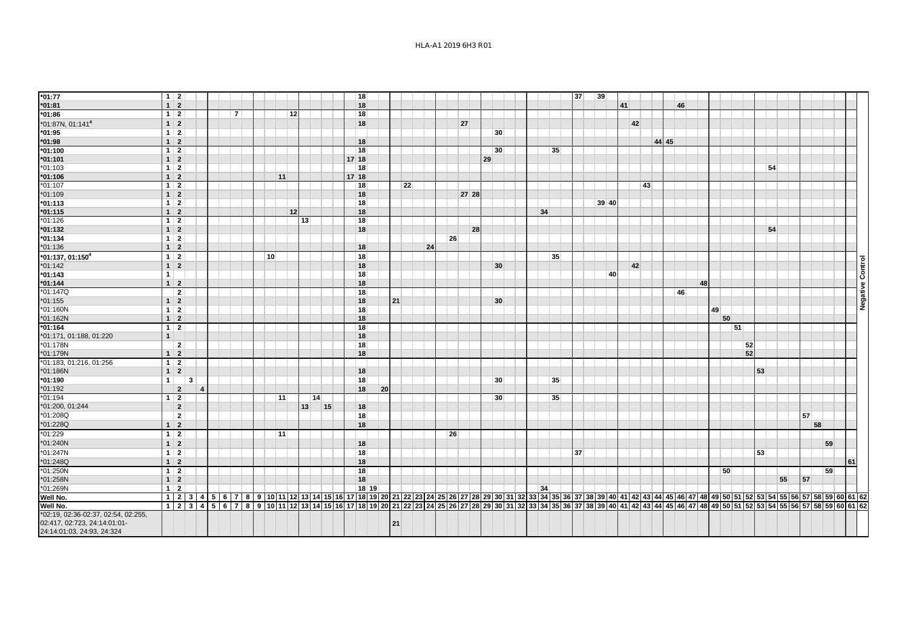| $*01:77$                                                                                          | $1 \mid 2$     |                |                        |  |                |                 |        |                 |    |    | 18      |    |    |    |    |    |       |    |    |  |    |    | 37 | 39    |    |    |    |       |    |    |    |    |    |    |    |    |    |    |                  |
|---------------------------------------------------------------------------------------------------|----------------|----------------|------------------------|--|----------------|-----------------|--------|-----------------|----|----|---------|----|----|----|----|----|-------|----|----|--|----|----|----|-------|----|----|----|-------|----|----|----|----|----|----|----|----|----|----|------------------|
| $*01:81$                                                                                          | $1 \mid 2$     |                |                        |  |                |                 |        |                 |    |    | 18      |    |    |    |    |    |       |    |    |  |    |    |    |       | 41 |    |    |       | 46 |    |    |    |    |    |    |    |    |    |                  |
| $*01:86$                                                                                          | $1 \mid 2$     |                |                        |  | $\overline{7}$ |                 |        | 12 <sup>1</sup> |    |    | 18      |    |    |    |    |    |       |    |    |  |    |    |    |       |    |    |    |       |    |    |    |    |    |    |    |    |    |    |                  |
| *01:87N, 01:141 <sup>4</sup>                                                                      | $1 \vert 2$    |                |                        |  |                |                 |        |                 |    |    | 18      |    |    |    |    |    | 27    |    |    |  |    |    |    |       |    | 42 |    |       |    |    |    |    |    |    |    |    |    |    |                  |
| $*01:95$                                                                                          | $1 \mid 2$     |                |                        |  |                |                 |        |                 |    |    |         |    |    |    |    |    |       |    | 30 |  |    |    |    |       |    |    |    |       |    |    |    |    |    |    |    |    |    |    |                  |
| $*01:98$                                                                                          | $1 \mid 2$     |                |                        |  |                |                 |        |                 |    |    | 18      |    |    |    |    |    |       |    |    |  |    |    |    |       |    |    |    | 44 45 |    |    |    |    |    |    |    |    |    |    |                  |
| $*01:100$                                                                                         | $1 \mid 2$     |                |                        |  |                |                 |        |                 |    |    | 18      |    |    |    |    |    |       |    | 30 |  |    | 35 |    |       |    |    |    |       |    |    |    |    |    |    |    |    |    |    |                  |
| $*01:101$                                                                                         | $1 \vert 2$    |                |                        |  |                |                 |        |                 |    |    | $17$ 18 |    |    |    |    |    |       | 29 |    |  |    |    |    |       |    |    |    |       |    |    |    |    |    |    |    |    |    |    |                  |
| *01:103                                                                                           | $1 \mid 2$     |                |                        |  |                |                 |        |                 |    |    | 18      |    |    |    |    |    |       |    |    |  |    |    |    |       |    |    |    |       |    |    |    |    |    | 54 |    |    |    |    |                  |
| $*01:106$                                                                                         | $1 \vert 2$    |                |                        |  |                |                 | 11     |                 |    |    | 17 18   |    |    |    |    |    |       |    |    |  |    |    |    |       |    |    |    |       |    |    |    |    |    |    |    |    |    |    |                  |
| $*01:107$                                                                                         | $1 \mid 2$     |                |                        |  |                |                 |        |                 |    |    | 18      |    |    | 22 |    |    |       |    |    |  |    |    |    |       |    |    | 43 |       |    |    |    |    |    |    |    |    |    |    |                  |
| $*01:109$                                                                                         | $1 \vert 2$    |                |                        |  |                |                 |        |                 |    |    | 18      |    |    |    |    |    | 27 28 |    |    |  |    |    |    |       |    |    |    |       |    |    |    |    |    |    |    |    |    |    |                  |
| $*01:113$                                                                                         | $1 \vert 2$    |                |                        |  |                |                 |        |                 |    |    | 18      |    |    |    |    |    |       |    |    |  |    |    |    | 39 40 |    |    |    |       |    |    |    |    |    |    |    |    |    |    |                  |
| $*01:115$                                                                                         | $1 \vert 2$    |                |                        |  |                |                 |        | 12              |    |    | 18      |    |    |    |    |    |       |    |    |  | 34 |    |    |       |    |    |    |       |    |    |    |    |    |    |    |    |    |    |                  |
| $*01:126$                                                                                         | $1 \mid 2$     |                |                        |  |                |                 |        | 13              |    |    | 18      |    |    |    |    |    |       |    |    |  |    |    |    |       |    |    |    |       |    |    |    |    |    |    |    |    |    |    |                  |
| $*01:132$                                                                                         | $1 \vert 2$    |                |                        |  |                |                 |        |                 |    |    | 18      |    |    |    |    |    | 28    |    |    |  |    |    |    |       |    |    |    |       |    |    |    |    |    | 54 |    |    |    |    |                  |
| $*01:134$                                                                                         | $1 \mid 2$     |                |                        |  |                |                 |        |                 |    |    |         |    |    |    |    | 26 |       |    |    |  |    |    |    |       |    |    |    |       |    |    |    |    |    |    |    |    |    |    |                  |
| $*01:136$                                                                                         | $1 \vert 2$    |                |                        |  |                |                 |        |                 |    |    | 18      |    |    |    | 24 |    |       |    |    |  |    |    |    |       |    |    |    |       |    |    |    |    |    |    |    |    |    |    |                  |
| *01:137, 01:1504                                                                                  | $1 \vert 2$    |                |                        |  |                | 10 <sup>1</sup> |        |                 |    |    | 18      |    |    |    |    |    |       |    |    |  |    | 35 |    |       |    |    |    |       |    |    |    |    |    |    |    |    |    |    |                  |
| $*01:142$                                                                                         | $1 \vert 2$    |                |                        |  |                |                 |        |                 |    |    | 18      |    |    |    |    |    |       |    | 30 |  |    |    |    |       |    | 42 |    |       |    |    |    |    |    |    |    |    |    |    |                  |
| $*01:143$                                                                                         | 1 <sup>1</sup> |                |                        |  |                |                 |        |                 |    |    | 18      |    |    |    |    |    |       |    |    |  |    |    |    | 40    |    |    |    |       |    |    |    |    |    |    |    |    |    |    |                  |
| $*01:144$                                                                                         | $1 \vert 2$    |                |                        |  |                |                 |        |                 |    |    | 18      |    |    |    |    |    |       |    |    |  |    |    |    |       |    |    |    |       |    | 48 |    |    |    |    |    |    |    |    |                  |
| *01:147Q                                                                                          |                | $\overline{2}$ |                        |  |                |                 |        |                 |    |    | 18      |    |    |    |    |    |       |    |    |  |    |    |    |       |    |    |    |       | 46 |    |    |    |    |    |    |    |    |    | Negative Control |
| $*01:155$                                                                                         | $1 \mid 2$     |                |                        |  |                |                 |        |                 |    |    | 18      |    | 21 |    |    |    |       |    | 30 |  |    |    |    |       |    |    |    |       |    |    |    |    |    |    |    |    |    |    |                  |
| $*01:160N$                                                                                        | $1 \mid 2$     |                |                        |  |                |                 |        |                 |    |    | 18      |    |    |    |    |    |       |    |    |  |    |    |    |       |    |    |    |       |    |    | 49 |    |    |    |    |    |    |    |                  |
| *01:162N                                                                                          | $1 \vert 2$    |                |                        |  |                |                 |        |                 |    |    | 18      |    |    |    |    |    |       |    |    |  |    |    |    |       |    |    |    |       |    |    | 50 |    |    |    |    |    |    |    |                  |
| $*01:164$                                                                                         | $1 \mid 2$     |                |                        |  |                |                 |        |                 |    |    | 18      |    |    |    |    |    |       |    |    |  |    |    |    |       |    |    |    |       |    |    |    | 51 |    |    |    |    |    |    |                  |
| *01:171, 01:188, 01:220                                                                           | 1              |                |                        |  |                |                 |        |                 |    |    | 18      |    |    |    |    |    |       |    |    |  |    |    |    |       |    |    |    |       |    |    |    |    |    |    |    |    |    |    |                  |
| *01:178N                                                                                          |                | $\overline{2}$ |                        |  |                |                 |        |                 |    |    | 18      |    |    |    |    |    |       |    |    |  |    |    |    |       |    |    |    |       |    |    |    |    | 52 |    |    |    |    |    |                  |
| *01:179N                                                                                          | $1 \vert 2$    |                |                        |  |                |                 |        |                 |    |    | 18      |    |    |    |    |    |       |    |    |  |    |    |    |       |    |    |    |       |    |    |    |    | 52 |    |    |    |    |    |                  |
| *01:183, 01:216, 01:256                                                                           | $1 \vert 2$    |                |                        |  |                |                 |        |                 |    |    |         |    |    |    |    |    |       |    |    |  |    |    |    |       |    |    |    |       |    |    |    |    |    |    |    |    |    |    |                  |
| *01:186N                                                                                          | $1 \vert 2$    |                |                        |  |                |                 |        |                 |    |    | 18      |    |    |    |    |    |       |    |    |  |    |    |    |       |    |    |    |       |    |    |    |    |    | 53 |    |    |    |    |                  |
| $*01:190$                                                                                         | 1              |                | $\mathbf{3}$           |  |                |                 |        |                 |    |    | 18      |    |    |    |    |    |       |    | 30 |  |    | 35 |    |       |    |    |    |       |    |    |    |    |    |    |    |    |    |    |                  |
| $*01:192$                                                                                         |                | $\overline{2}$ | $\boldsymbol{\Lambda}$ |  |                |                 |        |                 |    |    | 18      | 20 |    |    |    |    |       |    |    |  |    |    |    |       |    |    |    |       |    |    |    |    |    |    |    |    |    |    |                  |
| $*01:194$                                                                                         | $1 \mid 2$     |                |                        |  |                |                 | $ 11 $ |                 | 14 |    |         |    |    |    |    |    |       |    | 30 |  |    | 35 |    |       |    |    |    |       |    |    |    |    |    |    |    |    |    |    |                  |
| *01:200, 01:244                                                                                   |                | $\overline{2}$ |                        |  |                |                 |        | 13              |    | 15 | 18      |    |    |    |    |    |       |    |    |  |    |    |    |       |    |    |    |       |    |    |    |    |    |    |    |    |    |    |                  |
| *01:208Q                                                                                          |                | $\overline{2}$ |                        |  |                |                 |        |                 |    |    | 18      |    |    |    |    |    |       |    |    |  |    |    |    |       |    |    |    |       |    |    |    |    |    |    |    | 57 |    |    |                  |
| *01:228Q                                                                                          | $1 \vert 2$    |                |                        |  |                |                 |        |                 |    |    | 18      |    |    |    |    |    |       |    |    |  |    |    |    |       |    |    |    |       |    |    |    |    |    |    |    | 58 |    |    |                  |
| $*01:229$                                                                                         | $1 \mid 2$     |                |                        |  |                |                 | $ 11 $ |                 |    |    |         |    |    |    |    | 26 |       |    |    |  |    |    |    |       |    |    |    |       |    |    |    |    |    |    |    |    |    |    |                  |
| *01:240N                                                                                          | $1 \vert 2$    |                |                        |  |                |                 |        |                 |    |    | 18      |    |    |    |    |    |       |    |    |  |    |    |    |       |    |    |    |       |    |    |    |    |    |    |    |    | 59 |    |                  |
| *01:247N                                                                                          | $1 \vert 2$    |                |                        |  |                |                 |        |                 |    |    | 18      |    |    |    |    |    |       |    |    |  |    |    | 37 |       |    |    |    |       |    |    |    |    |    | 53 |    |    |    |    |                  |
| *01:248Q                                                                                          | $1 \vert 2$    |                |                        |  |                |                 |        |                 |    |    | 18      |    |    |    |    |    |       |    |    |  |    |    |    |       |    |    |    |       |    |    |    |    |    |    |    |    |    | 61 |                  |
| *01:250N                                                                                          | $1 \mid 2$     |                |                        |  |                |                 |        |                 |    |    | 18      |    |    |    |    |    |       |    |    |  |    |    |    |       |    |    |    |       |    |    | 50 |    |    |    |    |    | 59 |    |                  |
| *01:258N                                                                                          | $1 \mid 2$     |                |                        |  |                |                 |        |                 |    |    | 18      |    |    |    |    |    |       |    |    |  |    |    |    |       |    |    |    |       |    |    |    |    |    |    | 55 | 57 |    |    |                  |
| *01:269N                                                                                          | $1 \vert 2$    |                |                        |  |                |                 |        |                 |    |    | 18 19   |    |    |    |    |    |       |    |    |  | 34 |    |    |       |    |    |    |       |    |    |    |    |    |    |    |    |    |    |                  |
| Well No.                                                                                          |                |                |                        |  |                |                 |        |                 |    |    |         |    |    |    |    |    |       |    |    |  |    |    |    |       |    |    |    |       |    |    |    |    |    |    |    |    |    |    |                  |
| Well No.                                                                                          |                |                |                        |  |                |                 |        |                 |    |    |         |    |    |    |    |    |       |    |    |  |    |    |    |       |    |    |    |       |    |    |    |    |    |    |    |    |    |    |                  |
| *02:19, 02:36-02:37, 02:54, 02:255,<br>02:417, 02:723, 24:14:01:01-<br>24:14:01:03, 24:93, 24:324 |                |                |                        |  |                |                 |        |                 |    |    |         |    | 21 |    |    |    |       |    |    |  |    |    |    |       |    |    |    |       |    |    |    |    |    |    |    |    |    |    |                  |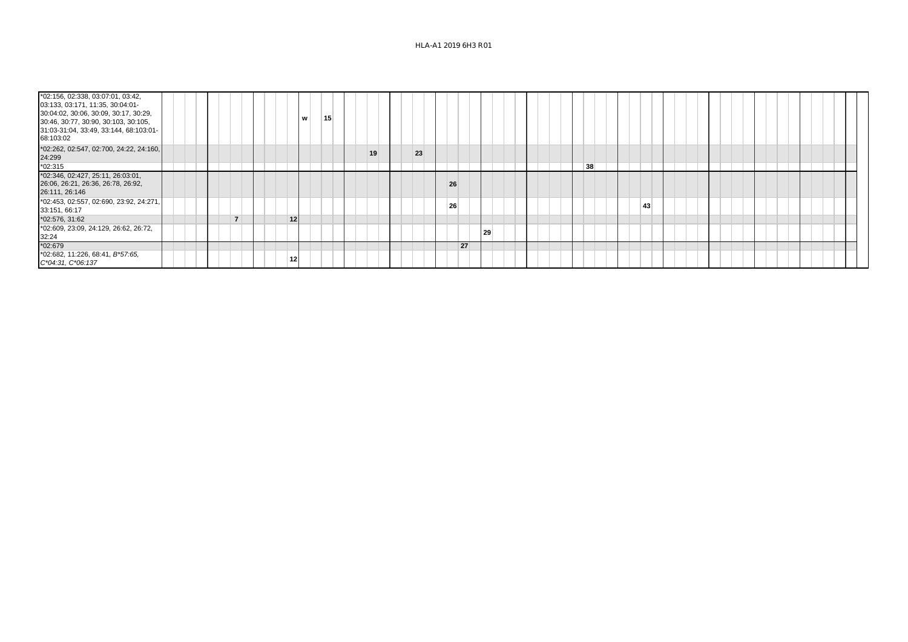## HLA-A1 2019 6H3 R01

| *02:156, 02:338, 03:07:01, 03:42,<br>03:133, 03:171, 11:35, 30:04:01-<br>30:04:02, 30:06, 30:09, 30:17, 30:29,<br>30:46, 30:77, 30:90, 30:103, 30:105,<br>31:03-31:04, 33:49, 33:144, 68:103:01-<br>68:103:02 |  | w         | 15 |    |    |    |    |    |    |  |  |  |
|---------------------------------------------------------------------------------------------------------------------------------------------------------------------------------------------------------------|--|-----------|----|----|----|----|----|----|----|--|--|--|
| *02:262, 02:547, 02:700, 24:22, 24:160,<br>24:299                                                                                                                                                             |  |           |    | 19 | 23 |    |    |    |    |  |  |  |
| $*02:315$                                                                                                                                                                                                     |  |           |    |    |    |    |    | 38 |    |  |  |  |
| *02:346, 02:427, 25:11, 26:03:01,<br>26:06, 26:21, 26:36, 26:78, 26:92,<br>26:111, 26:146                                                                                                                     |  |           |    |    |    | 26 |    |    |    |  |  |  |
| *02:453, 02:557, 02:690, 23:92, 24:271,<br>33:151, 66:17                                                                                                                                                      |  |           |    |    |    | 26 |    |    | 43 |  |  |  |
| *02:576, 31:62                                                                                                                                                                                                |  | 12        |    |    |    |    |    |    |    |  |  |  |
| *02:609, 23:09, 24:129, 26:62, 26:72,<br>32:24                                                                                                                                                                |  |           |    |    |    |    | 29 |    |    |  |  |  |
| $*02:679$                                                                                                                                                                                                     |  |           |    |    |    | 27 |    |    |    |  |  |  |
| *02:682, 11:226, 68:41, B*57:65,<br>C*04:31, C*06:137                                                                                                                                                         |  | $12 \mid$ |    |    |    |    |    |    |    |  |  |  |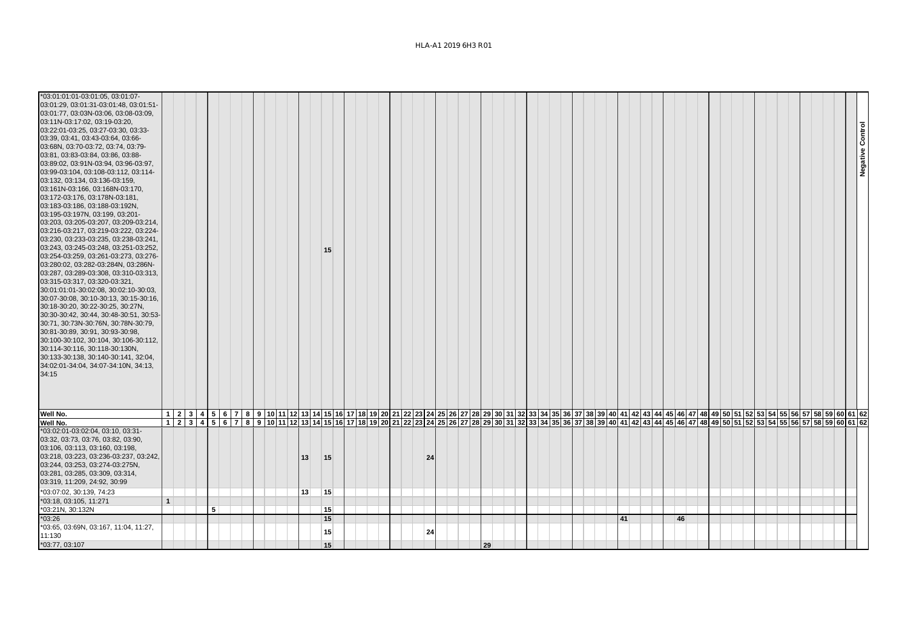## HLA-A1 2019 6H3 R01

| *03:01:01:01-03:01:05, 03:01:07-<br>03:01:29, 03:01:31-03:01:48, 03:01:51-<br>03:01:77, 03:03N-03:06, 03:08-03:09,<br>03:11N-03:17:02, 03:19-03:20,<br>03:22:01-03:25, 03:27-03:30, 03:33-<br>03:39, 03:41, 03:43-03:64, 03:66-<br>03:68N, 03:70-03:72, 03:74, 03:79-<br>03:81, 03:83-03:84, 03:86, 03:88-<br>03:89:02, 03:91N-03:94, 03:96-03:97,<br>03:99-03:104, 03:108-03:112, 03:114-<br>03:132, 03:134, 03:136-03:159,<br>03:161N-03:166, 03:168N-03:170,<br>03:172-03:176, 03:178N-03:181,<br>03:183-03:186, 03:188-03:192N,<br>03:195-03:197N, 03:199, 03:201-<br>03:203, 03:205-03:207, 03:209-03:214,<br>03:216-03:217, 03:219-03:222, 03:224-<br>03:230, 03:233-03:235, 03:238-03:241,<br>03:243, 03:245-03:248, 03:251-03:252,<br>03:254-03:259, 03:261-03:273, 03:276-<br>03:280:02, 03:282-03:284N, 03:286N-<br>03:287, 03:289-03:308, 03:310-03:313,<br>03:315-03:317, 03:320-03:321,<br>30:01:01:01-30:02:08, 30:02:10-30:03,<br>30:07-30:08, 30:10-30:13, 30:15-30:16,<br>30:18-30:20, 30:22-30:25, 30:27N,<br>30:30-30:42, 30:44, 30:48-30:51, 30:53-<br>30:71, 30:73N-30:76N, 30:78N-30:79,<br>30:81-30:89, 30:91, 30:93-30:98,<br>30:100-30:102, 30:104, 30:106-30:112,<br>30:114-30:116, 30:118-30:130N,<br>30:133-30:138, 30:140-30:141, 32:04,<br>34:02:01-34:04, 34:07-34:10N, 34:13,<br>34:15 |   |  |   |  |  |                                                                                                                                                                                        |    |    | 15 |  |  |  |    |  |    |  |  |  |  |    |  |    |  |  |  |  |  |  | Negative Control |  |
|------------------------------------------------------------------------------------------------------------------------------------------------------------------------------------------------------------------------------------------------------------------------------------------------------------------------------------------------------------------------------------------------------------------------------------------------------------------------------------------------------------------------------------------------------------------------------------------------------------------------------------------------------------------------------------------------------------------------------------------------------------------------------------------------------------------------------------------------------------------------------------------------------------------------------------------------------------------------------------------------------------------------------------------------------------------------------------------------------------------------------------------------------------------------------------------------------------------------------------------------------------------------------------------------------------------------|---|--|---|--|--|----------------------------------------------------------------------------------------------------------------------------------------------------------------------------------------|----|----|----|--|--|--|----|--|----|--|--|--|--|----|--|----|--|--|--|--|--|--|------------------|--|
| Well No.                                                                                                                                                                                                                                                                                                                                                                                                                                                                                                                                                                                                                                                                                                                                                                                                                                                                                                                                                                                                                                                                                                                                                                                                                                                                                                               |   |  |   |  |  | 1 2 3 4 5 6 7 8 9 10 11 2 3 4 5 6 7 8 9 10 11 2 3 4 5 6 7 8 9 10 11 2 3 4 5 6 7 8 9 10 11 2 3 4 5 7 8 8 7 38 39 40 41 42 43 44 5 45 46 47 48 49 50 51 52 53 54 55 56 57 58 59 60 61 62 |    |    |    |  |  |  |    |  |    |  |  |  |  |    |  |    |  |  |  |  |  |  |                  |  |
| Well No.                                                                                                                                                                                                                                                                                                                                                                                                                                                                                                                                                                                                                                                                                                                                                                                                                                                                                                                                                                                                                                                                                                                                                                                                                                                                                                               |   |  |   |  |  |                                                                                                                                                                                        |    |    |    |  |  |  |    |  |    |  |  |  |  |    |  |    |  |  |  |  |  |  |                  |  |
| *03:02:01-03:02:04, 03:10, 03:31-<br>03:32, 03:73, 03:76, 03:82, 03:90,<br>03:106, 03:113, 03:160, 03:198,<br>03:218, 03:223, 03:236-03:237, 03:242,<br>03:244, 03:253, 03:274-03:275N,<br>03:281, 03:285, 03:309, 03:314,<br>03:319, 11:209, 24:92, 30:99                                                                                                                                                                                                                                                                                                                                                                                                                                                                                                                                                                                                                                                                                                                                                                                                                                                                                                                                                                                                                                                             |   |  |   |  |  |                                                                                                                                                                                        | 13 | 15 |    |  |  |  | 24 |  |    |  |  |  |  |    |  |    |  |  |  |  |  |  |                  |  |
| *03:07:02, 30:139, 74:23                                                                                                                                                                                                                                                                                                                                                                                                                                                                                                                                                                                                                                                                                                                                                                                                                                                                                                                                                                                                                                                                                                                                                                                                                                                                                               |   |  |   |  |  |                                                                                                                                                                                        | 13 |    | 15 |  |  |  |    |  |    |  |  |  |  |    |  |    |  |  |  |  |  |  |                  |  |
| *03:18, 03:105, 11:271                                                                                                                                                                                                                                                                                                                                                                                                                                                                                                                                                                                                                                                                                                                                                                                                                                                                                                                                                                                                                                                                                                                                                                                                                                                                                                 | 1 |  |   |  |  |                                                                                                                                                                                        |    |    |    |  |  |  |    |  |    |  |  |  |  |    |  |    |  |  |  |  |  |  |                  |  |
| *03:21N, 30:132N                                                                                                                                                                                                                                                                                                                                                                                                                                                                                                                                                                                                                                                                                                                                                                                                                                                                                                                                                                                                                                                                                                                                                                                                                                                                                                       |   |  | 5 |  |  |                                                                                                                                                                                        |    |    | 15 |  |  |  |    |  |    |  |  |  |  |    |  |    |  |  |  |  |  |  |                  |  |
| $*03:26$                                                                                                                                                                                                                                                                                                                                                                                                                                                                                                                                                                                                                                                                                                                                                                                                                                                                                                                                                                                                                                                                                                                                                                                                                                                                                                               |   |  |   |  |  |                                                                                                                                                                                        |    |    | 15 |  |  |  |    |  |    |  |  |  |  | 41 |  | 46 |  |  |  |  |  |  |                  |  |
| *03:65, 03:69N, 03:167, 11:04, 11:27,<br>11:130                                                                                                                                                                                                                                                                                                                                                                                                                                                                                                                                                                                                                                                                                                                                                                                                                                                                                                                                                                                                                                                                                                                                                                                                                                                                        |   |  |   |  |  |                                                                                                                                                                                        |    |    | 15 |  |  |  | 24 |  |    |  |  |  |  |    |  |    |  |  |  |  |  |  |                  |  |
| *03:77, 03:107                                                                                                                                                                                                                                                                                                                                                                                                                                                                                                                                                                                                                                                                                                                                                                                                                                                                                                                                                                                                                                                                                                                                                                                                                                                                                                         |   |  |   |  |  |                                                                                                                                                                                        |    |    | 15 |  |  |  |    |  | 29 |  |  |  |  |    |  |    |  |  |  |  |  |  |                  |  |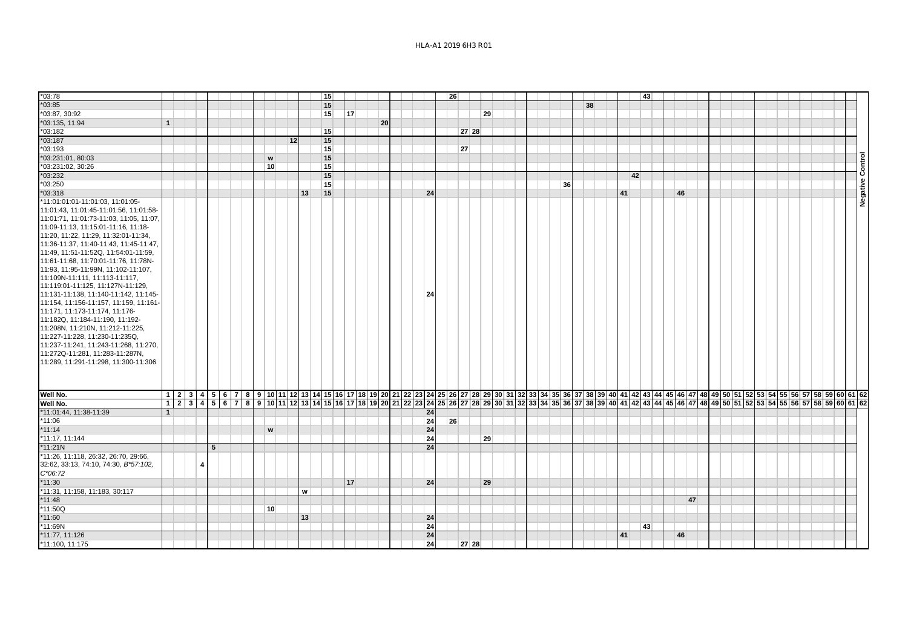| $*03:78$                                                                                                                                                                                                                                                                                                                                                                                                                                                                                                                                                                                                                                                                                                                                                                                       |              |                                                                                                                                                                                                                                |   |   |  |                           |    |    |                 |    |    |  |    |    |       |    |    |  |  |    |    |  |    |    |  |    |    |  |  |  |  |  |  |                     |
|------------------------------------------------------------------------------------------------------------------------------------------------------------------------------------------------------------------------------------------------------------------------------------------------------------------------------------------------------------------------------------------------------------------------------------------------------------------------------------------------------------------------------------------------------------------------------------------------------------------------------------------------------------------------------------------------------------------------------------------------------------------------------------------------|--------------|--------------------------------------------------------------------------------------------------------------------------------------------------------------------------------------------------------------------------------|---|---|--|---------------------------|----|----|-----------------|----|----|--|----|----|-------|----|----|--|--|----|----|--|----|----|--|----|----|--|--|--|--|--|--|---------------------|
| $*03:85$                                                                                                                                                                                                                                                                                                                                                                                                                                                                                                                                                                                                                                                                                                                                                                                       |              |                                                                                                                                                                                                                                |   |   |  |                           |    |    | 15              |    |    |  |    | 26 |       |    |    |  |  |    |    |  |    | 43 |  |    |    |  |  |  |  |  |  |                     |
|                                                                                                                                                                                                                                                                                                                                                                                                                                                                                                                                                                                                                                                                                                                                                                                                |              |                                                                                                                                                                                                                                |   |   |  |                           |    |    | 15              |    |    |  |    |    |       |    |    |  |  |    | 38 |  |    |    |  |    |    |  |  |  |  |  |  |                     |
| *03:87, 30:92                                                                                                                                                                                                                                                                                                                                                                                                                                                                                                                                                                                                                                                                                                                                                                                  |              |                                                                                                                                                                                                                                |   |   |  |                           |    |    | 15              | 17 |    |  |    |    |       |    | 29 |  |  |    |    |  |    |    |  |    |    |  |  |  |  |  |  |                     |
| *03:135, 11:94                                                                                                                                                                                                                                                                                                                                                                                                                                                                                                                                                                                                                                                                                                                                                                                 | $\mathbf{1}$ |                                                                                                                                                                                                                                |   |   |  |                           |    |    |                 |    | 20 |  |    |    |       |    |    |  |  |    |    |  |    |    |  |    |    |  |  |  |  |  |  |                     |
| *03:182                                                                                                                                                                                                                                                                                                                                                                                                                                                                                                                                                                                                                                                                                                                                                                                        |              |                                                                                                                                                                                                                                |   |   |  |                           |    |    | 15              |    |    |  |    |    | 27 28 |    |    |  |  |    |    |  |    |    |  |    |    |  |  |  |  |  |  |                     |
| $*03:187$                                                                                                                                                                                                                                                                                                                                                                                                                                                                                                                                                                                                                                                                                                                                                                                      |              |                                                                                                                                                                                                                                |   |   |  |                           | 12 |    | 15              |    |    |  |    |    |       |    |    |  |  |    |    |  |    |    |  |    |    |  |  |  |  |  |  |                     |
| $*03:193$                                                                                                                                                                                                                                                                                                                                                                                                                                                                                                                                                                                                                                                                                                                                                                                      |              |                                                                                                                                                                                                                                |   |   |  |                           |    |    | 15 <sup>1</sup> |    |    |  |    |    | 27    |    |    |  |  |    |    |  |    |    |  |    |    |  |  |  |  |  |  |                     |
| *03:231:01, 80:03                                                                                                                                                                                                                                                                                                                                                                                                                                                                                                                                                                                                                                                                                                                                                                              |              |                                                                                                                                                                                                                                |   |   |  | $\boldsymbol{\mathsf{w}}$ |    |    | 15              |    |    |  |    |    |       |    |    |  |  |    |    |  |    |    |  |    |    |  |  |  |  |  |  | ontrol              |
| *03:231:02, 30:26                                                                                                                                                                                                                                                                                                                                                                                                                                                                                                                                                                                                                                                                                                                                                                              |              |                                                                                                                                                                                                                                |   |   |  | 10                        |    |    | 15              |    |    |  |    |    |       |    |    |  |  |    |    |  |    |    |  |    |    |  |  |  |  |  |  |                     |
| $*03:232$                                                                                                                                                                                                                                                                                                                                                                                                                                                                                                                                                                                                                                                                                                                                                                                      |              |                                                                                                                                                                                                                                |   |   |  |                           |    |    | 15              |    |    |  |    |    |       |    |    |  |  |    |    |  |    | 42 |  |    |    |  |  |  |  |  |  | ပ<br>$\pmb{\omega}$ |
| *03:250                                                                                                                                                                                                                                                                                                                                                                                                                                                                                                                                                                                                                                                                                                                                                                                        |              |                                                                                                                                                                                                                                |   |   |  |                           |    |    | 15              |    |    |  |    |    |       |    |    |  |  | 36 |    |  |    |    |  |    |    |  |  |  |  |  |  |                     |
| $*03:318$                                                                                                                                                                                                                                                                                                                                                                                                                                                                                                                                                                                                                                                                                                                                                                                      |              |                                                                                                                                                                                                                                |   |   |  |                           |    | 13 | 15              |    |    |  | 24 |    |       |    |    |  |  |    |    |  | 41 |    |  | 46 |    |  |  |  |  |  |  | <b>Negativ</b>      |
| *11:01:01:01-11:01:03, 11:01:05-<br>11:01:43, 11:01:45-11:01:56, 11:01:58-<br>11:01:71, 11:01:73-11:03, 11:05, 11:07.<br>11:09-11:13, 11:15:01-11:16, 11:18-<br>11:20, 11:22, 11:29, 11:32:01-11:34,<br>11:36-11:37, 11:40-11:43, 11:45-11:47,<br>11:49, 11:51-11:52Q, 11:54:01-11:59,<br>11:61-11:68, 11:70:01-11:76, 11:78N-<br>11:93, 11:95-11:99N, 11:102-11:107,<br>11:109N-11:111, 11:113-11:117,<br>11:119:01-11:125, 11:127N-11:129,<br>11:131-11:138, 11:140-11:142, 11:145-<br>11:154, 11:156-11:157, 11:159, 11:161-<br>11:171, 11:173-11:174, 11:176-<br>11:182Q, 11:184-11:190, 11:192-<br>11:208N, 11:210N, 11:212-11:225,<br>11:227-11:228, 11:230-11:235Q,<br>11:237-11:241, 11:243-11:268, 11:270,<br>11:272Q-11:281, 11:283-11:287N,<br>11:289, 11:291-11:298, 11:300-11:306 |              |                                                                                                                                                                                                                                |   |   |  |                           |    |    |                 |    |    |  | 24 |    |       |    |    |  |  |    |    |  |    |    |  |    |    |  |  |  |  |  |  |                     |
| Well No.                                                                                                                                                                                                                                                                                                                                                                                                                                                                                                                                                                                                                                                                                                                                                                                       |              | 1 2 3 4 5 5 6 5 7 8 9 6 7 8 9 7 8 9 7 8 9 7 8 9 7 8 9 8 9 6 7 8 9 8 9 8 1 8 3 4 3 4 3 4 3 3 4 3 4 3 3 4 3 4 4 4 5 4 4 4 5 4 4 4 5 4 4 4 5 4 4 4 5 4 4 4 5 4 4 4 5 4 6 7 5 8 5 6 5 7 5 8 5 6 7 5 8 5 6 7 5 8 5 9 6 7 5 8 59 6 0 |   |   |  |                           |    |    |                 |    |    |  |    |    |       |    |    |  |  |    |    |  |    |    |  |    |    |  |  |  |  |  |  |                     |
| Well No.                                                                                                                                                                                                                                                                                                                                                                                                                                                                                                                                                                                                                                                                                                                                                                                       |              |                                                                                                                                                                                                                                |   |   |  |                           |    |    |                 |    |    |  |    |    |       |    |    |  |  |    |    |  |    |    |  |    |    |  |  |  |  |  |  |                     |
| *11:01:44, 11:38-11:39                                                                                                                                                                                                                                                                                                                                                                                                                                                                                                                                                                                                                                                                                                                                                                         | $\mathbf{1}$ |                                                                                                                                                                                                                                |   |   |  |                           |    |    |                 |    |    |  | 24 |    |       |    |    |  |  |    |    |  |    |    |  |    |    |  |  |  |  |  |  |                     |
| $*11:06$                                                                                                                                                                                                                                                                                                                                                                                                                                                                                                                                                                                                                                                                                                                                                                                       |              |                                                                                                                                                                                                                                |   |   |  |                           |    |    |                 |    |    |  | 24 | 26 |       |    |    |  |  |    |    |  |    |    |  |    |    |  |  |  |  |  |  |                     |
| $*11:14$                                                                                                                                                                                                                                                                                                                                                                                                                                                                                                                                                                                                                                                                                                                                                                                       |              |                                                                                                                                                                                                                                |   |   |  | w                         |    |    |                 |    |    |  | 24 |    |       |    |    |  |  |    |    |  |    |    |  |    |    |  |  |  |  |  |  |                     |
| *11:17, 11:144                                                                                                                                                                                                                                                                                                                                                                                                                                                                                                                                                                                                                                                                                                                                                                                 |              |                                                                                                                                                                                                                                |   |   |  |                           |    |    |                 |    |    |  | 24 |    |       | 29 |    |  |  |    |    |  |    |    |  |    |    |  |  |  |  |  |  |                     |
| $*11:21N$                                                                                                                                                                                                                                                                                                                                                                                                                                                                                                                                                                                                                                                                                                                                                                                      |              |                                                                                                                                                                                                                                |   | 5 |  |                           |    |    |                 |    |    |  | 24 |    |       |    |    |  |  |    |    |  |    |    |  |    |    |  |  |  |  |  |  |                     |
|                                                                                                                                                                                                                                                                                                                                                                                                                                                                                                                                                                                                                                                                                                                                                                                                |              |                                                                                                                                                                                                                                |   |   |  |                           |    |    |                 |    |    |  |    |    |       |    |    |  |  |    |    |  |    |    |  |    |    |  |  |  |  |  |  |                     |
| *11:26, 11:118, 26:32, 26:70, 29:66,<br>32:62, 33:13, 74:10, 74:30, B*57:102,                                                                                                                                                                                                                                                                                                                                                                                                                                                                                                                                                                                                                                                                                                                  |              |                                                                                                                                                                                                                                |   |   |  |                           |    |    |                 |    |    |  |    |    |       |    |    |  |  |    |    |  |    |    |  |    |    |  |  |  |  |  |  |                     |
| $C*06:72$                                                                                                                                                                                                                                                                                                                                                                                                                                                                                                                                                                                                                                                                                                                                                                                      |              |                                                                                                                                                                                                                                | 4 |   |  |                           |    |    |                 |    |    |  |    |    |       |    |    |  |  |    |    |  |    |    |  |    |    |  |  |  |  |  |  |                     |
|                                                                                                                                                                                                                                                                                                                                                                                                                                                                                                                                                                                                                                                                                                                                                                                                |              |                                                                                                                                                                                                                                |   |   |  |                           |    |    |                 |    |    |  |    |    |       |    |    |  |  |    |    |  |    |    |  |    |    |  |  |  |  |  |  |                     |
| $*11:30$                                                                                                                                                                                                                                                                                                                                                                                                                                                                                                                                                                                                                                                                                                                                                                                       |              |                                                                                                                                                                                                                                |   |   |  |                           |    |    |                 | 17 |    |  | 24 |    |       |    | 29 |  |  |    |    |  |    |    |  |    |    |  |  |  |  |  |  |                     |
| *11:31, 11:158, 11:183, 30:117                                                                                                                                                                                                                                                                                                                                                                                                                                                                                                                                                                                                                                                                                                                                                                 |              |                                                                                                                                                                                                                                |   |   |  |                           |    | w  |                 |    |    |  |    |    |       |    |    |  |  |    |    |  |    |    |  |    |    |  |  |  |  |  |  |                     |
| $*11:48$                                                                                                                                                                                                                                                                                                                                                                                                                                                                                                                                                                                                                                                                                                                                                                                       |              |                                                                                                                                                                                                                                |   |   |  |                           |    |    |                 |    |    |  |    |    |       |    |    |  |  |    |    |  |    |    |  |    | 47 |  |  |  |  |  |  |                     |
| *11:50Q                                                                                                                                                                                                                                                                                                                                                                                                                                                                                                                                                                                                                                                                                                                                                                                        |              |                                                                                                                                                                                                                                |   |   |  | 10                        |    |    |                 |    |    |  |    |    |       |    |    |  |  |    |    |  |    |    |  |    |    |  |  |  |  |  |  |                     |
| $*11:60$                                                                                                                                                                                                                                                                                                                                                                                                                                                                                                                                                                                                                                                                                                                                                                                       |              |                                                                                                                                                                                                                                |   |   |  |                           |    | 13 |                 |    |    |  | 24 |    |       |    |    |  |  |    |    |  |    |    |  |    |    |  |  |  |  |  |  |                     |
| *11:69N                                                                                                                                                                                                                                                                                                                                                                                                                                                                                                                                                                                                                                                                                                                                                                                        |              |                                                                                                                                                                                                                                |   |   |  |                           |    |    |                 |    |    |  | 24 |    |       |    |    |  |  |    |    |  |    | 43 |  |    |    |  |  |  |  |  |  |                     |
| *11:77, 11:126                                                                                                                                                                                                                                                                                                                                                                                                                                                                                                                                                                                                                                                                                                                                                                                 |              |                                                                                                                                                                                                                                |   |   |  |                           |    |    |                 |    |    |  | 24 |    |       |    |    |  |  |    |    |  | 41 |    |  | 46 |    |  |  |  |  |  |  |                     |
| *11:100, 11:175                                                                                                                                                                                                                                                                                                                                                                                                                                                                                                                                                                                                                                                                                                                                                                                |              |                                                                                                                                                                                                                                |   |   |  |                           |    |    |                 |    |    |  | 24 |    | 27 28 |    |    |  |  |    |    |  |    |    |  |    |    |  |  |  |  |  |  |                     |